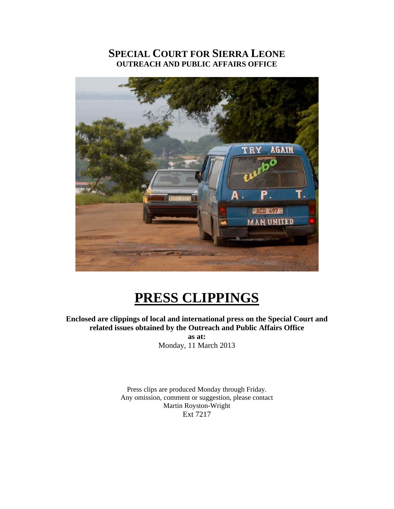### **SPECIAL COURT FOR SIERRA LEONE OUTREACH AND PUBLIC AFFAIRS OFFICE**



# **PRESS CLIPPINGS**

### **Enclosed are clippings of local and international press on the Special Court and related issues obtained by the Outreach and Public Affairs Office**

**as at:**  Monday, 11 March 2013

Press clips are produced Monday through Friday. Any omission, comment or suggestion, please contact Martin Royston-Wright Ext 7217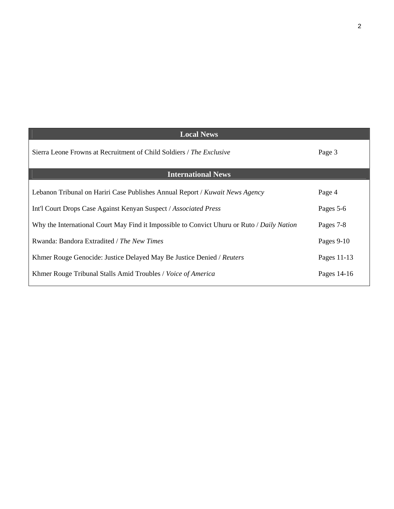| <b>Local News</b>                                                                          |             |
|--------------------------------------------------------------------------------------------|-------------|
| Sierra Leone Frowns at Recruitment of Child Soldiers / The Exclusive                       | Page 3      |
| <b>International News</b>                                                                  |             |
| Lebanon Tribunal on Hariri Case Publishes Annual Report / Kuwait News Agency               | Page 4      |
| Int'l Court Drops Case Against Kenyan Suspect / Associated Press                           | Pages 5-6   |
| Why the International Court May Find it Impossible to Convict Uhuru or Ruto / Daily Nation | Pages 7-8   |
| Rwanda: Bandora Extradited / The New Times                                                 | Pages 9-10  |
| Khmer Rouge Genocide: Justice Delayed May Be Justice Denied / Reuters                      | Pages 11-13 |
| Khmer Rouge Tribunal Stalls Amid Troubles / Voice of America                               | Pages 14-16 |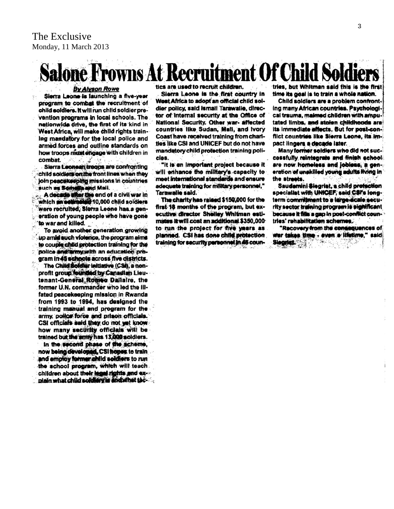## rowns At Recruit tment Of Child S

#### **By Alyson Rowe**

Sierra Leone is launching a five-year program to combat the recruitment of child soldiers. It will run child soldier prevention programs in local schools. The nationwide drive, the first of its kind in West Africa, will make child rights training mandatory for the local police and armed forces and outline standards on how troops must engage with children in combat.

Sierra Leonean treeps are confronting child soldiers on the front lines when they join peacekeeping missions in countries such as Somely and Mali.

A decade wher the end of a civil war in<br>which an estimated 10,000 child soldiers were recruited. Sierra Leone has a generation of young people who have gone to war and killed.

To avoid another generation growing up amid such violence, the program aims to couple child protection training for the police and army with an education program in 45 schools across five districts.

The Child Soldier Initiative (CSI), a nonprofit group founded by Canadian Lieutenant-General Romeo Dallaire, the former U.N. commander who led the illfated peacekeeping mission in Rwanda from 1993 to 1994, has designed the training manual and program for the army, police force and prison officials. CSI officials said they do not yet know. how many security officials will be trained but the army has 13,000 soldiers.

in the second phase of the scheme, now being developed. CSI hopes to train and employ former child soldiers to run the school program, which will teach. children about their legal rights and explain what child soldlary is end what the-

tics are used to recruit children.

Sierra Leone is the first country in West Africa to adopt an official child soldier policy, said ismail Tarawalle, director of internal security at the Office of National Security. Other war- affected countries like Sudan, Mail, and Ivory Coast have received training from charities like CSI and UNICEF but do not have mandatory child protection training policles.

"It is an important project because it will enhance the military's capacity to meet international standards and ensure adequate training for military personnel," Tarawalle said.

The charity has raised \$150,000 for the first 18 months of the program, but executive director Shelley Whitman estimates it will cost an additional \$350,000 to run the project for five years as planned. CSI has done child protection training for security personnel in 46 coun-

tries, but Whitman said this is the first time its goal is to train a whole nation.

Child soldiers are a problem confront-Ing many African countries. Psychological trauma, maimed children with amputated limbs, and stolen childhoods are its immediate effects. But for post-conflict countries like Sierra Leone, its Impact lingers a decade later.

Many former soldiers who did not successfully reintegrate and finish school are now homeless and jobless, a generation of unskilled young adults fiving in the streets.

Saudamini Siegrist, a child prefection specialist with UNICEF, said CSI's longterm commitment to a large-scale security sector training program is significant because it fills a gap in post-conflict countries' rehabilitation schemes.

"Recovery from the consequences of war takes time - even a lifetime," said Siegriet.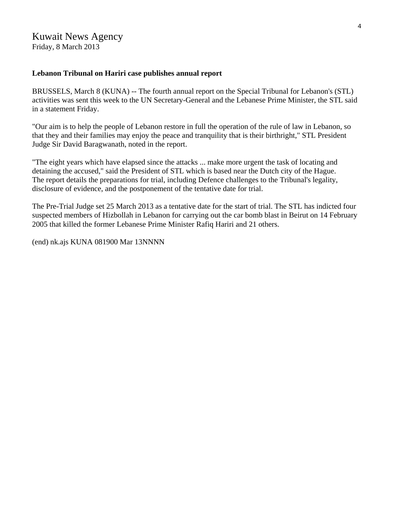### Kuwait News Agency

Friday, 8 March 2013

#### **Lebanon Tribunal on Hariri case publishes annual report**

BRUSSELS, March 8 (KUNA) -- The fourth annual report on the Special Tribunal for Lebanon's (STL) activities was sent this week to the UN Secretary-General and the Lebanese Prime Minister, the STL said in a statement Friday.

"Our aim is to help the people of Lebanon restore in full the operation of the rule of law in Lebanon, so that they and their families may enjoy the peace and tranquility that is their birthright," STL President Judge Sir David Baragwanath, noted in the report.

"The eight years which have elapsed since the attacks ... make more urgent the task of locating and detaining the accused," said the President of STL which is based near the Dutch city of the Hague. The report details the preparations for trial, including Defence challenges to the Tribunal's legality, disclosure of evidence, and the postponement of the tentative date for trial.

The Pre-Trial Judge set 25 March 2013 as a tentative date for the start of trial. The STL has indicted four suspected members of Hizbollah in Lebanon for carrying out the car bomb blast in Beirut on 14 February 2005 that killed the former Lebanese Prime Minister Rafiq Hariri and 21 others.

(end) nk.ajs KUNA 081900 Mar 13NNNN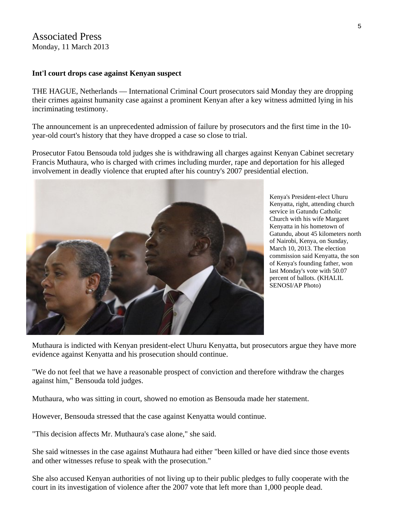#### Associated Press Monday, 11 March 2013

#### **Int'l court drops case against Kenyan suspect**

THE HAGUE, Netherlands — International Criminal Court prosecutors said Monday they are dropping their crimes against humanity case against a prominent Kenyan after a key witness admitted lying in his incriminating testimony.

The announcement is an unprecedented admission of failure by prosecutors and the first time in the 10 year-old court's history that they have dropped a case so close to trial.

Prosecutor Fatou Bensouda told judges she is withdrawing all charges against Kenyan Cabinet secretary Francis Muthaura, who is charged with crimes including murder, rape and deportation for his alleged involvement in deadly violence that erupted after his country's 2007 presidential election.



Kenya's President-elect Uhuru Kenyatta, right, attending church service in Gatundu Catholic Church with his wife Margaret Kenyatta in his hometown of Gatundu, about 45 kilometers n orth of Nairobi, Kenya, on Sunday , March 10, 2013. The election commission said Kenyatta, the son of Kenya's founding father, won last Monday's vote with 50.07 percent of ballots. (KHALIL SENOSI/AP Photo)

Muthaura is indicted with Kenyan president-elect Uhuru Kenyatta, but prosecutors argue they have more evidence against Kenyatta and his prosecution should continue.

"We do not feel that we have a reasonable prospect of conviction and therefore withdraw the charges against him," Bensouda told judges.

Muthaura, who was sitting in court, showed no emotion as Bensouda made her statement.

However, Bensouda stressed that the case against Kenyatta would continue.

"This decision affects Mr. Muthaura's case alone," she said.

She said witnesses in the case against Muthaura had either "been killed or have died since those events and other witnesses refuse to speak with the prosecution."

She also accused Kenyan authorities of not living up to their public pledges to fully cooperate with the court in its investigation of violence after the 2007 vote that left more than 1,000 people dead.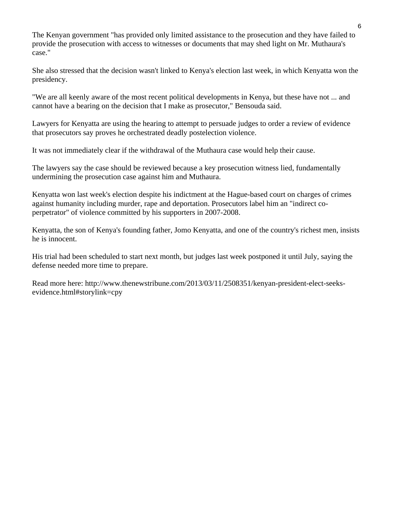The Kenyan government "has provided only limited assistance to the prosecution and they have failed to provide the prosecution with access to witnesses or documents that may shed light on Mr. Muthaura's case."

She also stressed that the decision wasn't linked to Kenya's election last week, in which Kenyatta won the presidency.

"We are all keenly aware of the most recent political developments in Kenya, but these have not ... and cannot have a bearing on the decision that I make as prosecutor," Bensouda said.

Lawyers for Kenyatta are using the hearing to attempt to persuade judges to order a review of evidence that prosecutors say proves he orchestrated deadly postelection violence.

It was not immediately clear if the withdrawal of the Muthaura case would help their cause.

The lawyers say the case should be reviewed because a key prosecution witness lied, fundamentally undermining the prosecution case against him and Muthaura.

Kenyatta won last week's election despite his indictment at the Hague-based court on charges of crimes against humanity including murder, rape and deportation. Prosecutors label him an "indirect coperpetrator" of violence committed by his supporters in 2007-2008.

Kenyatta, the son of Kenya's founding father, Jomo Kenyatta, and one of the country's richest men, insists he is innocent.

His trial had been scheduled to start next month, but judges last week postponed it until July, saying the defense needed more time to prepare.

Read more here: http://www.thenewstribune.com/2013/03/11/2508351/kenyan-president-elect-seeksevidence.html#storylink=cpy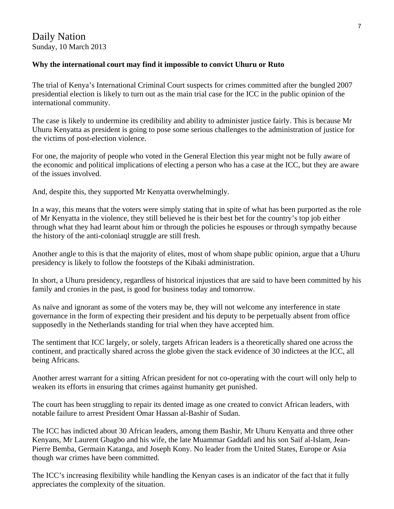#### **Why the international court may find it impossible to convict Uhuru or Ruto**

The trial of Kenya's International Criminal Court suspects for crimes committed after the bungled 2007 presidential election is likely to turn out as the main trial case for the ICC in the public opinion of the international community.

The case is likely to undermine its credibility and ability to administer justice fairly. This is because Mr Uhuru Kenyatta as president is going to pose some serious challenges to the administration of justice for the victims of post-election violence.

For one, the majority of people who voted in the General Election this year might not be fully aware of the economic and political implications of electing a person who has a case at the ICC, but they are aware of the issues involved.

And, despite this, they supported Mr Kenyatta overwhelmingly.

In a way, this means that the voters were simply stating that in spite of what has been purported as the role of Mr Kenyatta in the violence, they still believed he is their best bet for the country's top job either through what they had learnt about him or through the policies he espouses or through sympathy because the history of the anti-coloniaql struggle are still fresh.

Another angle to this is that the majority of elites, most of whom shape public opinion, argue that a Uhuru presidency is likely to follow the footsteps of the Kibaki administration.

In short, a Uhuru presidency, regardless of historical injustices that are said to have been committed by his family and cronies in the past, is good for business today and tomorrow.

As naïve and ignorant as some of the voters may be, they will not welcome any interference in state governance in the form of expecting their president and his deputy to be perpetually absent from office supposedly in the Netherlands standing for trial when they have accepted him.

The sentiment that ICC largely, or solely, targets African leaders is a theoretically shared one across the continent, and practically shared across the globe given the stack evidence of 30 indictees at the ICC, all being Africans.

Another arrest warrant for a sitting African president for not co-operating with the court will only help to weaken its efforts in ensuring that crimes against humanity get punished.

The court has been struggling to repair its dented image as one created to convict African leaders, with notable failure to arrest President Omar Hassan al-Bashir of Sudan.

The ICC has indicted about 30 African leaders, among them Bashir, Mr Uhuru Kenyatta and three other Kenyans, Mr Laurent Gbagbo and his wife, the late Muammar Gaddafi and his son Saif al-Islam, Jean-Pierre Bemba, Germain Katanga, and Joseph Kony. No leader from the United States, Europe or Asia though war crimes have been committed.

The ICC's increasing flexibility while handling the Kenyan cases is an indicator of the fact that it fully appreciates the complexity of the situation.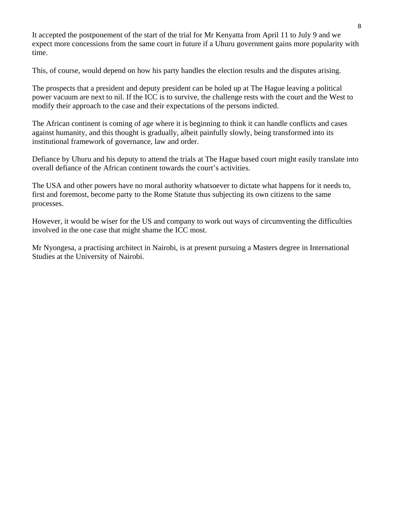It accepted the postponement of the start of the trial for Mr Kenyatta from April 11 to July 9 and we expect more concessions from the same court in future if a Uhuru government gains more popularity with time.

This, of course, would depend on how his party handles the election results and the disputes arising.

The prospects that a president and deputy president can be holed up at The Hague leaving a political power vacuum are next to nil. If the ICC is to survive, the challenge rests with the court and the West to modify their approach to the case and their expectations of the persons indicted.

The African continent is coming of age where it is beginning to think it can handle conflicts and cases against humanity, and this thought is gradually, albeit painfully slowly, being transformed into its institutional framework of governance, law and order.

Defiance by Uhuru and his deputy to attend the trials at The Hague based court might easily translate into overall defiance of the African continent towards the court's activities.

The USA and other powers have no moral authority whatsoever to dictate what happens for it needs to, first and foremost, become party to the Rome Statute thus subjecting its own citizens to the same processes.

However, it would be wiser for the US and company to work out ways of circumventing the difficulties involved in the one case that might shame the ICC most.

Mr Nyongesa, a practising architect in Nairobi, is at present pursuing a Masters degree in International Studies at the University of Nairobi.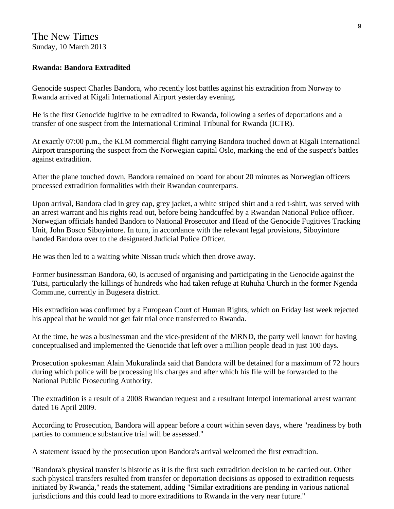#### The New Times Sunday, 10 March 2013

#### **Rwanda: Bandora Extradited**

Genocide suspect Charles Bandora, who recently lost battles against his extradition from Norway to Rwanda arrived at Kigali International Airport yesterday evening.

He is the first Genocide fugitive to be extradited to Rwanda, following a series of deportations and a transfer of one suspect from the International Criminal Tribunal for Rwanda (ICTR).

At exactly 07:00 p.m., the KLM commercial flight carrying Bandora touched down at Kigali International Airport transporting the suspect from the Norwegian capital Oslo, marking the end of the suspect's battles against extradition.

After the plane touched down, Bandora remained on board for about 20 minutes as Norwegian officers processed extradition formalities with their Rwandan counterparts.

Upon arrival, Bandora clad in grey cap, grey jacket, a white striped shirt and a red t-shirt, was served with an arrest warrant and his rights read out, before being handcuffed by a Rwandan National Police officer. Norwegian officials handed Bandora to National Prosecutor and Head of the Genocide Fugitives Tracking Unit, John Bosco Siboyintore. In turn, in accordance with the relevant legal provisions, Siboyintore handed Bandora over to the designated Judicial Police Officer.

He was then led to a waiting white Nissan truck which then drove away.

Former businessman Bandora, 60, is accused of organising and participating in the Genocide against the Tutsi, particularly the killings of hundreds who had taken refuge at Ruhuha Church in the former Ngenda Commune, currently in Bugesera district.

His extradition was confirmed by a European Court of Human Rights, which on Friday last week rejected his appeal that he would not get fair trial once transferred to Rwanda.

At the time, he was a businessman and the vice-president of the MRND, the party well known for having conceptualised and implemented the Genocide that left over a million people dead in just 100 days.

Prosecution spokesman Alain Mukuralinda said that Bandora will be detained for a maximum of 72 hours during which police will be processing his charges and after which his file will be forwarded to the National Public Prosecuting Authority.

The extradition is a result of a 2008 Rwandan request and a resultant Interpol international arrest warrant dated 16 April 2009.

According to Prosecution, Bandora will appear before a court within seven days, where "readiness by both parties to commence substantive trial will be assessed."

A statement issued by the prosecution upon Bandora's arrival welcomed the first extradition.

"Bandora's physical transfer is historic as it is the first such extradition decision to be carried out. Other such physical transfers resulted from transfer or deportation decisions as opposed to extradition requests initiated by Rwanda," reads the statement, adding "Similar extraditions are pending in various national jurisdictions and this could lead to more extraditions to Rwanda in the very near future."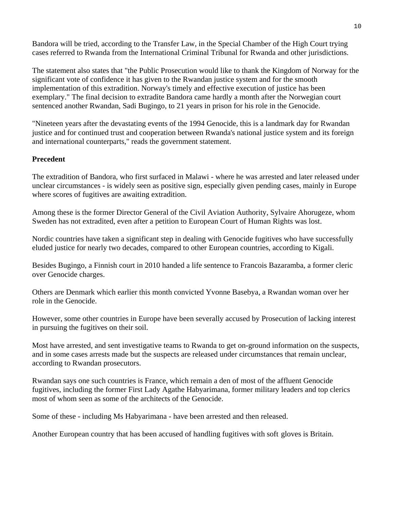Bandora will be tried, according to the Transfer Law, in the Special Chamber of the High Court trying cases referred to Rwanda from the International Criminal Tribunal for Rwanda and other jurisdictions.

The statement also states that "the Public Prosecution would like to thank the Kingdom of Norway for the significant vote of confidence it has given to the Rwandan justice system and for the smooth implementation of this extradition. Norway's timely and effective execution of justice has been exemplary." The final decision to extradite Bandora came hardly a month after the Norwegian court sentenced another Rwandan, Sadi Bugingo, to 21 years in prison for his role in the Genocide.

"Nineteen years after the devastating events of the 1994 Genocide, this is a landmark day for Rwandan justice and for continued trust and cooperation between Rwanda's national justice system and its foreign and international counterparts," reads the government statement.

#### **Precedent**

The extradition of Bandora, who first surfaced in Malawi - where he was arrested and later released under unclear circumstances - is widely seen as positive sign, especially given pending cases, mainly in Europe where scores of fugitives are awaiting extradition.

Among these is the former Director General of the Civil Aviation Authority, Sylvaire Ahorugeze, whom Sweden has not extradited, even after a petition to European Court of Human Rights was lost.

Nordic countries have taken a significant step in dealing with Genocide fugitives who have successfully eluded justice for nearly two decades, compared to other European countries, according to Kigali.

Besides Bugingo, a Finnish court in 2010 handed a life sentence to Francois Bazaramba, a former cleric over Genocide charges.

Others are Denmark which earlier this month convicted Yvonne Basebya, a Rwandan woman over her role in the Genocide.

However, some other countries in Europe have been severally accused by Prosecution of lacking interest in pursuing the fugitives on their soil.

Most have arrested, and sent investigative teams to Rwanda to get on-ground information on the suspects, and in some cases arrests made but the suspects are released under circumstances that remain unclear, according to Rwandan prosecutors.

Rwandan says one such countries is France, which remain a den of most of the affluent Genocide fugitives, including the former First Lady Agathe Habyarimana, former military leaders and top clerics most of whom seen as some of the architects of the Genocide.

Some of these - including Ms Habyarimana - have been arrested and then released.

Another European country that has been accused of handling fugitives with soft gloves is Britain.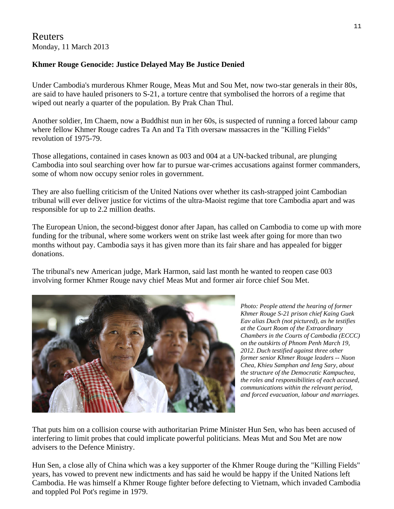#### Reuters Monday, 11 March 2013

#### **Khmer Rouge Genocide: Justice Delayed May Be Justice Denied**

Under Cambodia's murderous Khmer Rouge, Meas Mut and Sou Met, now two-star generals in their 80s, are said to have hauled prisoners to S-21, a torture centre that symbolised the horrors of a regime that wiped out nearly a quarter of the population. By Prak Chan Thul.

Another soldier, Im Chaem, now a Buddhist nun in her 60s, is suspected of running a forced labour camp where fellow Khmer Rouge cadres Ta An and Ta Tith oversaw massacres in the "Killing Fields" revolution of 1975-79.

Those allegations, contained in cases known as 003 and 004 at a UN-backed tribunal, are plunging Cambodia into soul searching over how far to pursue war-crimes accusations against former commanders, some of whom now occupy senior roles in government.

They are also fuelling criticism of the United Nations over whether its cash-strapped joint Cambodian tribunal will ever deliver justice for victims of the ultra-Maoist regime that tore Cambodia apart and was responsible for up to 2.2 million deaths.

The European Union, the second-biggest donor after Japan, has called on Cambodia to come up with more funding for the tribunal, where some workers went on strike last week after going for more than two months without pay. Cambodia says it has given more than its fair share and has appealed for bigger donations.

The tribunal's new American judge, Mark Harmon, said last month he wanted to reopen case 003 involving former Khmer Rouge navy chief Meas Mut and former air force chief Sou Met.



*Photo: People attend the hearing of former Khmer Rouge S-21 prison chief Kaing Guek Eav alias Duch (not pictured), as he testifies at the Court Room of the Extraordinary Chambers in the Courts of Cambodia (ECCC) on the outskirts of Phnom Penh March 19, 2012. Duch testified against three other former senior Khmer Rouge leaders -- Nuon Chea, Khieu Samphan and Ieng Sary, about the structure of the Democratic Kampuchea, the roles and responsibilities of each accused, communications within the relevant period, and forced evacuation, labour and marriages.* 

That puts him on a collision course with authoritarian Prime Minister Hun Sen, who has been accused of interfering to limit probes that could implicate powerful politicians. Meas Mut and Sou Met are now advisers to the Defence Ministry.

Hun Sen, a close ally of China which was a key supporter of the Khmer Rouge during the "Killing Fields" years, has vowed to prevent new indictments and has said he would be happy if the United Nations left Cambodia. He was himself a Khmer Rouge fighter before defecting to Vietnam, which invaded Cambodia and toppled Pol Pot's regime in 1979.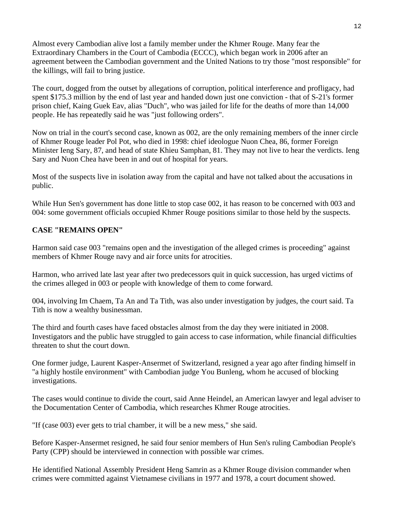Almost every Cambodian alive lost a family member under the Khmer Rouge. Many fear the Extraordinary Chambers in the Court of Cambodia (ECCC), which began work in 2006 after an agreement between the Cambodian government and the United Nations to try those "most responsible" for the killings, will fail to bring justice.

The court, dogged from the outset by allegations of corruption, political interference and profligacy, had spent \$175.3 million by the end of last year and handed down just one conviction - that of S-21's former prison chief, Kaing Guek Eav, alias "Duch", who was jailed for life for the deaths of more than 14,000 people. He has repeatedly said he was "just following orders".

Now on trial in the court's second case, known as 002, are the only remaining members of the inner circle of Khmer Rouge leader Pol Pot, who died in 1998: chief ideologue Nuon Chea, 86, former Foreign Minister Ieng Sary, 87, and head of state Khieu Samphan, 81. They may not live to hear the verdicts. Ieng Sary and Nuon Chea have been in and out of hospital for years.

Most of the suspects live in isolation away from the capital and have not talked about the accusations in public.

While Hun Sen's government has done little to stop case 002, it has reason to be concerned with 003 and 004: some government officials occupied Khmer Rouge positions similar to those held by the suspects.

#### **CASE "REMAINS OPEN"**

Harmon said case 003 "remains open and the investigation of the alleged crimes is proceeding" against members of Khmer Rouge navy and air force units for atrocities.

Harmon, who arrived late last year after two predecessors quit in quick succession, has urged victims of the crimes alleged in 003 or people with knowledge of them to come forward.

004, involving Im Chaem, Ta An and Ta Tith, was also under investigation by judges, the court said. Ta Tith is now a wealthy businessman.

The third and fourth cases have faced obstacles almost from the day they were initiated in 2008. Investigators and the public have struggled to gain access to case information, while financial difficulties threaten to shut the court down.

One former judge, Laurent Kasper-Ansermet of Switzerland, resigned a year ago after finding himself in "a highly hostile environment" with Cambodian judge You Bunleng, whom he accused of blocking investigations.

The cases would continue to divide the court, said Anne Heindel, an American lawyer and legal adviser to the Documentation Center of Cambodia, which researches Khmer Rouge atrocities.

"If (case 003) ever gets to trial chamber, it will be a new mess," she said.

Before Kasper-Ansermet resigned, he said four senior members of Hun Sen's ruling Cambodian People's Party (CPP) should be interviewed in connection with possible war crimes.

He identified National Assembly President Heng Samrin as a Khmer Rouge division commander when crimes were committed against Vietnamese civilians in 1977 and 1978, a court document showed.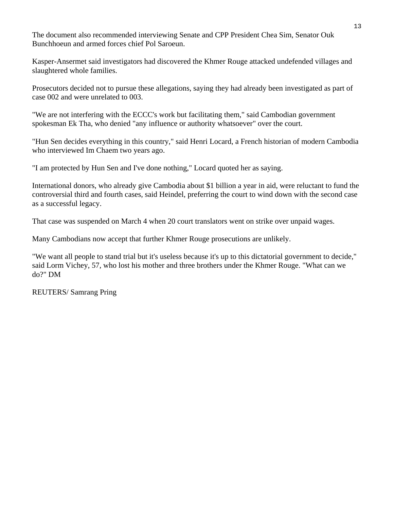The document also recommended interviewing Senate and CPP President Chea Sim, Senator Ouk Bunchhoeun and armed forces chief Pol Saroeun.

Kasper-Ansermet said investigators had discovered the Khmer Rouge attacked undefended villages and slaughtered whole families.

Prosecutors decided not to pursue these allegations, saying they had already been investigated as part of case 002 and were unrelated to 003.

"We are not interfering with the ECCC's work but facilitating them," said Cambodian government spokesman Ek Tha, who denied "any influence or authority whatsoever" over the court.

"Hun Sen decides everything in this country," said Henri Locard, a French historian of modern Cambodia who interviewed Im Chaem two years ago.

"I am protected by Hun Sen and I've done nothing," Locard quoted her as saying.

International donors, who already give Cambodia about \$1 billion a year in aid, were reluctant to fund the controversial third and fourth cases, said Heindel, preferring the court to wind down with the second case as a successful legacy.

That case was suspended on March 4 when 20 court translators went on strike over unpaid wages.

Many Cambodians now accept that further Khmer Rouge prosecutions are unlikely.

"We want all people to stand trial but it's useless because it's up to this dictatorial government to decide," said Lorm Vichey, 57, who lost his mother and three brothers under the Khmer Rouge. "What can we do?" DM

REUTERS/ Samrang Pring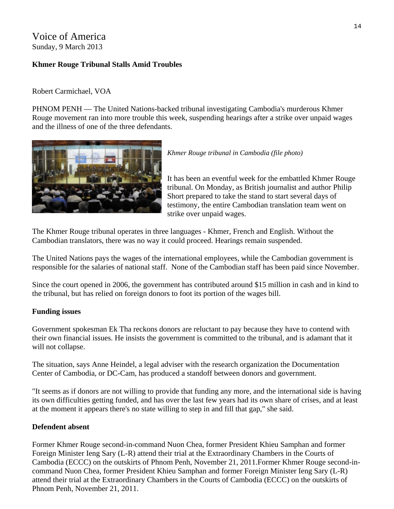### Voice of America Sunday, 9 March 2013

#### **Khmer Rouge Tribunal Stalls Amid Troubles**

#### Robert Carmichael, VOA

PHNOM PENH — The United Nations-backed tribunal investigating Cambodia's murderous Khmer Rouge movement ran into more trouble this week, suspending hearings after a strike over unpaid wages and the illness of one of the three defendants.



*Khmer Rouge tribunal in Cambodia (file photo)* 

It has been an eventful week for the embattled Khmer Rouge tribunal. On Monday, as British journalist and author Philip Short prepared to take the stand to start several days of testimony, the entire Cambodian translation team went on strike over unpaid wages.

The Khmer Rouge tribunal operates in three languages - Khmer, French and English. Without the Cambodian translators, there was no way it could proceed. Hearings remain suspended.

The United Nations pays the wages of the international employees, while the Cambodian government is responsible for the salaries of national staff. None of the Cambodian staff has been paid since November.

Since the court opened in 2006, the government has contributed around \$15 million in cash and in kind to the tribunal, but has relied on foreign donors to foot its portion of the wages bill.

#### **Funding issues**

Government spokesman Ek Tha reckons donors are reluctant to pay because they have to contend with their own financial issues. He insists the government is committed to the tribunal, and is adamant that it will not collapse.

The situation, says Anne Heindel, a legal adviser with the research organization the Documentation Center of Cambodia, or DC-Cam, has produced a standoff between donors and government.

"It seems as if donors are not willing to provide that funding any more, and the international side is having its own difficulties getting funded, and has over the last few years had its own share of crises, and at least at the moment it appears there's no state willing to step in and fill that gap," she said.

#### **Defendent absent**

Former Khmer Rouge second-in-command Nuon Chea, former President Khieu Samphan and former Foreign Minister Ieng Sary (L-R) attend their trial at the Extraordinary Chambers in the Courts of Cambodia (ECCC) on the outskirts of Phnom Penh, November 21, 2011.Former Khmer Rouge second-incommand Nuon Chea, former President Khieu Samphan and former Foreign Minister Ieng Sary (L-R) attend their trial at the Extraordinary Chambers in the Courts of Cambodia (ECCC) on the outskirts of Phnom Penh, November 21, 2011.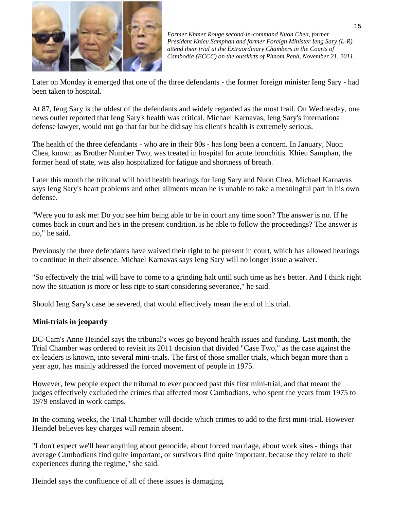

*Former Khmer Rouge second-in-command Nuon Chea, former President Khieu Samphan and former Foreign Minister Ieng Sary (L-R) attend their trial at the Extraordinary Chambers in the Courts of Cambodia (ECCC) on the outskirts of Phnom Penh, November 21, 2011.* 

Later on Monday it emerged that one of the three defendants - the former foreign minister Ieng Sary - had been taken to hospital.

At 87, Ieng Sary is the oldest of the defendants and widely regarded as the most frail. On Wednesday, one news outlet reported that Ieng Sary's health was critical. Michael Karnavas, Ieng Sary's international defense lawyer, would not go that far but he did say his client's health is extremely serious.

The health of the three defendants - who are in their 80s - has long been a concern. In January, Nuon Chea, known as Brother Number Two, was treated in hospital for acute bronchitis. Khieu Samphan, the former head of state, was also hospitalized for fatigue and shortness of breath.

Later this month the tribunal will hold health hearings for Ieng Sary and Nuon Chea. Michael Karnavas says Ieng Sary's heart problems and other ailments mean he is unable to take a meaningful part in his own defense.

"Were you to ask me: Do you see him being able to be in court any time soon? The answer is no. If he comes back in court and he's in the present condition, is he able to follow the proceedings? The answer is no," he said.

Previously the three defendants have waived their right to be present in court, which has allowed hearings to continue in their absence. Michael Karnavas says Ieng Sary will no longer issue a waiver.

"So effectively the trial will have to come to a grinding halt until such time as he's better. And I think right now the situation is more or less ripe to start considering severance," he said.

Should Ieng Sary's case be severed, that would effectively mean the end of his trial.

#### **Mini-trials in jeopardy**

DC-Cam's Anne Heindel says the tribunal's woes go beyond health issues and funding. Last month, the Trial Chamber was ordered to revisit its 2011 decision that divided "Case Two," as the case against the ex-leaders is known, into several mini-trials. The first of those smaller trials, which began more than a year ago, has mainly addressed the forced movement of people in 1975.

However, few people expect the tribunal to ever proceed past this first mini-trial, and that meant the judges effectively excluded the crimes that affected most Cambodians, who spent the years from 1975 to 1979 enslaved in work camps.

In the coming weeks, the Trial Chamber will decide which crimes to add to the first mini-trial. However Heindel believes key charges will remain absent.

"I don't expect we'll hear anything about genocide, about forced marriage, about work sites - things that average Cambodians find quite important, or survivors find quite important, because they relate to their experiences during the regime," she said.

Heindel says the confluence of all of these issues is damaging.